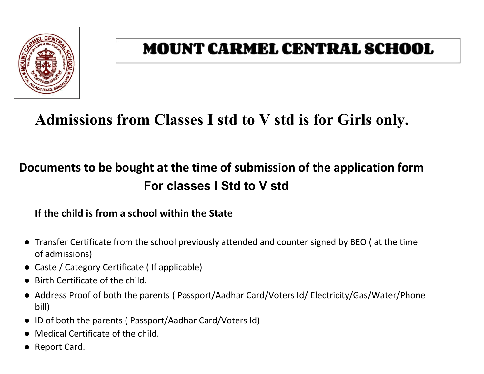

# **MOUNT CARMEL CENTRAL SCHOOL**

# **Admissions from Classes I std to V std is for Girls only.**

## **Documents to be bought at the time of submission of the application form For classes I Std to V std**

### **If the child is from a school within the State**

- Transfer Certificate from the school previously attended and counter signed by BEO ( at the time of admissions)
- Caste / Category Certificate ( If applicable)
- Birth Certificate of the child.
- Address Proof of both the parents ( Passport/Aadhar Card/Voters Id/ Electricity/Gas/Water/Phone bill)
- ID of both the parents ( Passport/Aadhar Card/Voters Id)
- Medical Certificate of the child.
- Report Card.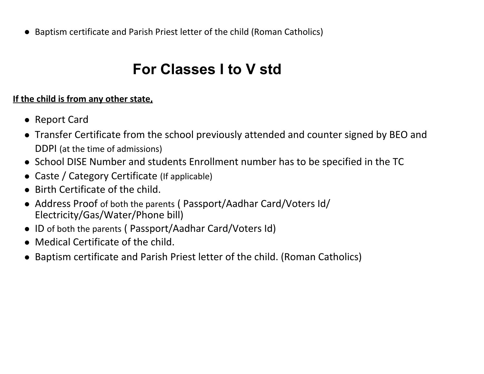● Baptism certificate and Parish Priest letter of the child (Roman Catholics)

## **For Classes I to V std**

### **If the child is from any other state,**

- Report Card
- Transfer Certificate from the school previously attended and counter signed by BEO and DDPI (at the time of admissions)
- School DISE Number and students Enrollment number has to be specified in the TC
- Caste / Category Certificate (If applicable)
- Birth Certificate of the child.
- Address Proof of both the parents (Passport/Aadhar Card/Voters Id/ Electricity/Gas/Water/Phone bill)
- ID of both the parents ( Passport/Aadhar Card/Voters Id)
- Medical Certificate of the child.
- Baptism certificate and Parish Priest letter of the child. (Roman Catholics)